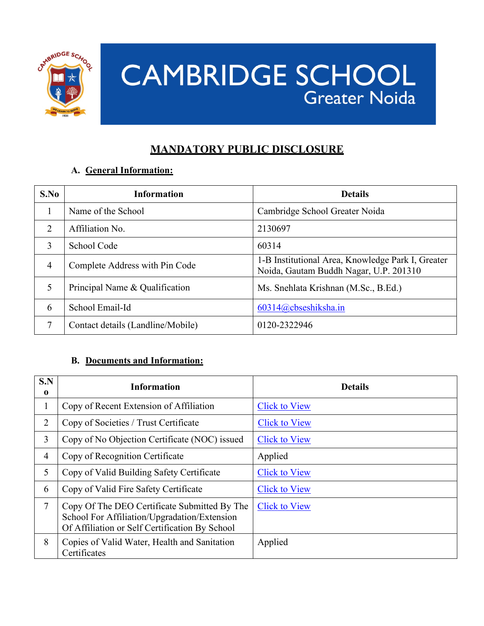

# **CAMBRIDGE SCHOOL Greater Noida**

# **MANDATORY PUBLIC DISCLOSURE**

#### **A. General Information:**

| S.No           | <b>Information</b>                | <b>Details</b>                                                                              |
|----------------|-----------------------------------|---------------------------------------------------------------------------------------------|
|                | Name of the School                | Cambridge School Greater Noida                                                              |
| 2              | Affiliation No.                   | 2130697                                                                                     |
| 3              | School Code                       | 60314                                                                                       |
| $\overline{4}$ | Complete Address with Pin Code    | 1-B Institutional Area, Knowledge Park I, Greater<br>Noida, Gautam Buddh Nagar, U.P. 201310 |
| 5              | Principal Name & Qualification    | Ms. Snehlata Krishnan (M.Sc., B.Ed.)                                                        |
| 6              | School Email-Id                   | $60314@c$ bseshiksha.in                                                                     |
| 7              | Contact details (Landline/Mobile) | 0120-2322946                                                                                |

#### **B. Documents and Information:**

| S.N<br>0       | <b>Information</b>                                                                                                                             | <b>Details</b>       |
|----------------|------------------------------------------------------------------------------------------------------------------------------------------------|----------------------|
| $\mathbf{1}$   | Copy of Recent Extension of Affiliation                                                                                                        | <b>Click to View</b> |
| 2              | Copy of Societies / Trust Certificate                                                                                                          | <b>Click to View</b> |
| 3              | Copy of No Objection Certificate (NOC) issued                                                                                                  | <b>Click to View</b> |
| $\overline{4}$ | Copy of Recognition Certificate                                                                                                                | Applied              |
| 5              | Copy of Valid Building Safety Certificate                                                                                                      | <b>Click to View</b> |
| 6              | Copy of Valid Fire Safety Certificate                                                                                                          | <b>Click to View</b> |
| 7              | Copy Of The DEO Certificate Submitted By The<br>School For Affiliation/Upgradation/Extension<br>Of Affiliation or Self Certification By School | <b>Click to View</b> |
| 8              | Copies of Valid Water, Health and Sanitation<br>Certificates                                                                                   | Applied              |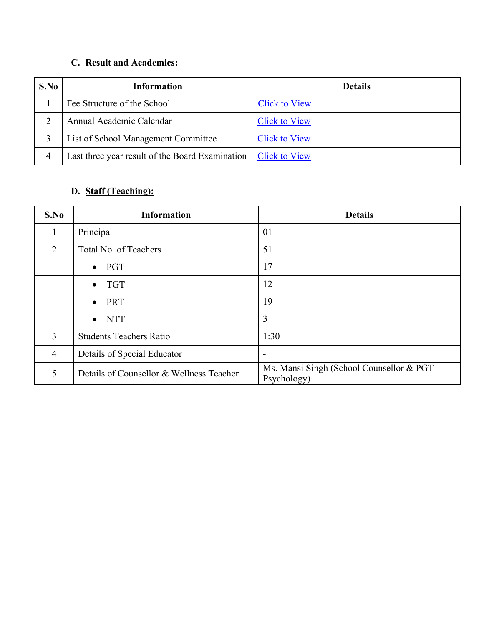#### **C. Result and Academics:**

| S.No | <b>Information</b>                              | <b>Details</b>       |
|------|-------------------------------------------------|----------------------|
|      | Fee Structure of the School                     | <b>Click to View</b> |
|      | Annual Academic Calendar                        | <b>Click to View</b> |
|      | List of School Management Committee             | <b>Click to View</b> |
| 4    | Last three year result of the Board Examination | <b>Click to View</b> |

## **D. Staff (Teaching):**

| S.No           | <b>Information</b>                       | <b>Details</b>                                           |
|----------------|------------------------------------------|----------------------------------------------------------|
| 1              | Principal                                | 01                                                       |
| 2              | Total No. of Teachers                    | 51                                                       |
|                | $\bullet$ PGT                            | 17                                                       |
|                | <b>TGT</b><br>$\bullet$                  | 12                                                       |
|                | PRT<br>$\bullet$                         | 19                                                       |
|                | <b>NTT</b><br>$\bullet$                  | 3                                                        |
| 3              | <b>Students Teachers Ratio</b>           | 1:30                                                     |
| $\overline{4}$ | Details of Special Educator              | $\overline{\phantom{a}}$                                 |
| 5              | Details of Counsellor & Wellness Teacher | Ms. Mansi Singh (School Counsellor & PGT)<br>Psychology) |